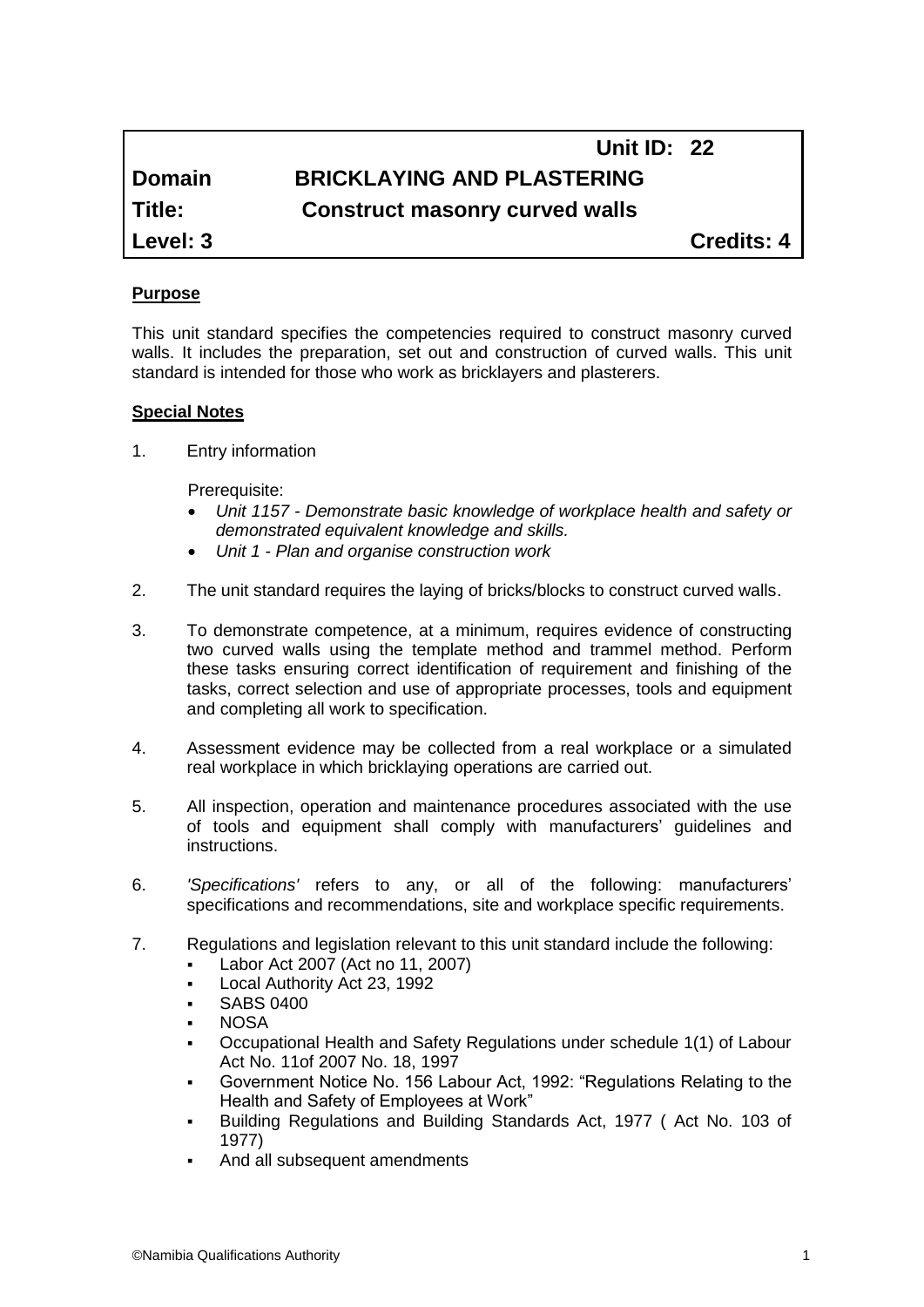# **Unit ID: 22 Domain BRICKLAYING AND PLASTERING Title: Construct masonry curved walls**

**Level: 3 Credits: 4**

#### **Purpose**

This unit standard specifies the competencies required to construct masonry curved walls. It includes the preparation, set out and construction of curved walls. This unit standard is intended for those who work as bricklayers and plasterers.

#### **Special Notes**

1. Entry information

Prerequisite:

- *Unit 1157 - Demonstrate basic knowledge of workplace health and safety or demonstrated equivalent knowledge and skills.*
- *Unit 1 - Plan and organise construction work*
- 2. The unit standard requires the laying of bricks/blocks to construct curved walls.
- 3. To demonstrate competence, at a minimum, requires evidence of constructing two curved walls using the template method and trammel method. Perform these tasks ensuring correct identification of requirement and finishing of the tasks, correct selection and use of appropriate processes, tools and equipment and completing all work to specification.
- 4. Assessment evidence may be collected from a real workplace or a simulated real workplace in which bricklaying operations are carried out.
- 5. All inspection, operation and maintenance procedures associated with the use of tools and equipment shall comply with manufacturers' guidelines and instructions.
- 6. *'Specifications'* refers to any, or all of the following: manufacturers' specifications and recommendations, site and workplace specific requirements.
- 7. Regulations and legislation relevant to this unit standard include the following:
	- Labor Act 2007 (Act no 11, 2007)
	- Local Authority Act 23, 1992
	- SABS 0400
	- **NOSA**
	- Occupational Health and Safety Regulations under schedule 1(1) of Labour Act No. 11of 2007 No. 18, 1997
	- Government Notice No. 156 Labour Act, 1992: "Regulations Relating to the Health and Safety of Employees at Work"
	- Building Regulations and Building Standards Act, 1977 ( Act No. 103 of 1977)
	- And all subsequent amendments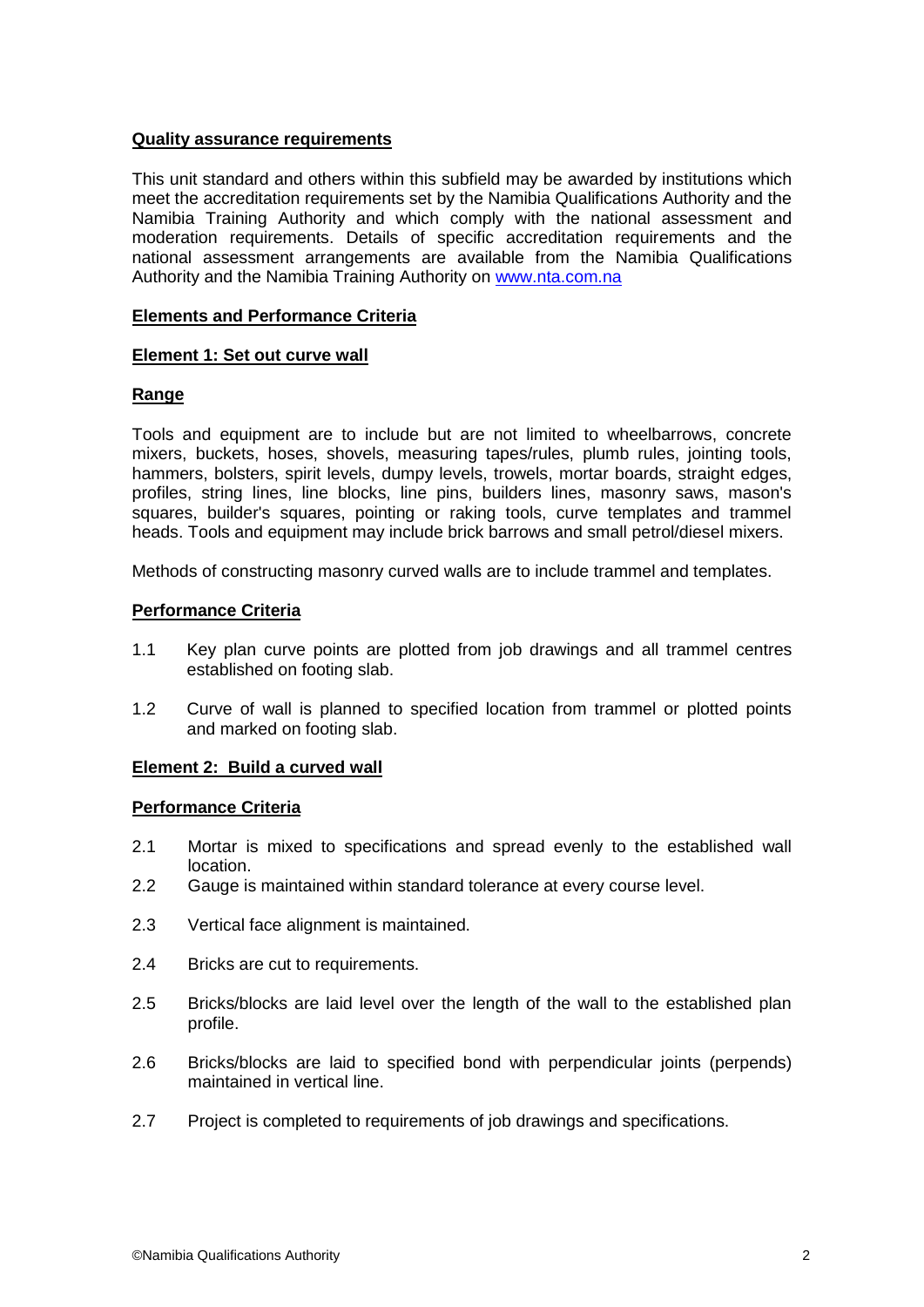#### **Quality assurance requirements**

This unit standard and others within this subfield may be awarded by institutions which meet the accreditation requirements set by the Namibia Qualifications Authority and the Namibia Training Authority and which comply with the national assessment and moderation requirements. Details of specific accreditation requirements and the national assessment arrangements are available from the Namibia Qualifications Authority and the Namibia Training Authority on [www.nta.com.na](http://www.nta.com.na/)

#### **Elements and Performance Criteria**

#### **Element 1: Set out curve wall**

## **Range**

Tools and equipment are to include but are not limited to wheelbarrows, concrete mixers, buckets, hoses, shovels, measuring tapes/rules, plumb rules, jointing tools, hammers, bolsters, spirit levels, dumpy levels, trowels, mortar boards, straight edges, profiles, string lines, line blocks, line pins, builders lines, masonry saws, mason's squares, builder's squares, pointing or raking tools, curve templates and trammel heads. Tools and equipment may include brick barrows and small petrol/diesel mixers.

Methods of constructing masonry curved walls are to include trammel and templates.

#### **Performance Criteria**

- 1.1 Key plan curve points are plotted from job drawings and all trammel centres established on footing slab.
- 1.2 Curve of wall is planned to specified location from trammel or plotted points and marked on footing slab.

## **Element 2: Build a curved wall**

#### **Performance Criteria**

- 2.1 Mortar is mixed to specifications and spread evenly to the established wall location.
- 2.2 Gauge is maintained within standard tolerance at every course level.
- 2.3 Vertical face alignment is maintained.
- 2.4 Bricks are cut to requirements.
- 2.5 Bricks/blocks are laid level over the length of the wall to the established plan profile.
- 2.6 Bricks/blocks are laid to specified bond with perpendicular joints (perpends) maintained in vertical line.
- 2.7 Project is completed to requirements of job drawings and specifications.